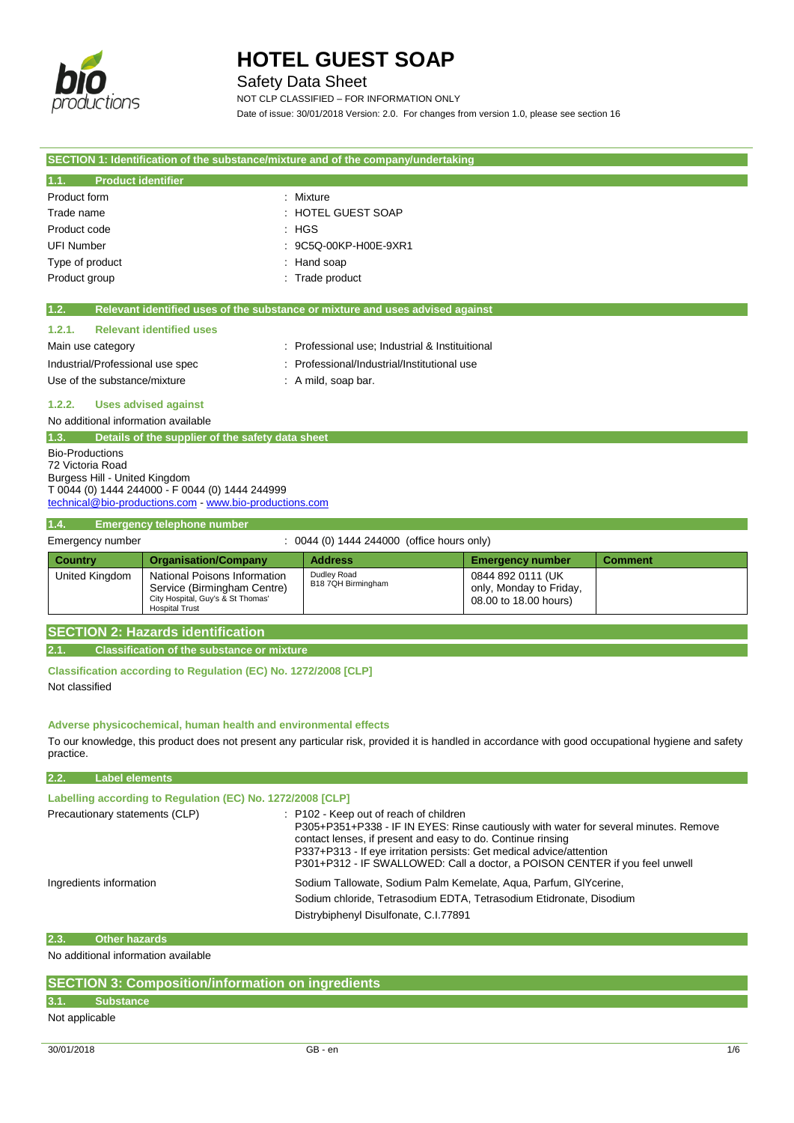

# Safety Data Sheet

NOT CLP CLASSIFIED – FOR INFORMATION ONLY Date of issue: 30/01/2018 Version: 2.0. For changes from version 1.0, please see section 16

| SECTION 1: Identification of the substance/mixture and of the company/undertaking                                                                                                         |                                                                                                                           |                                                                               |                                                                       |                |  |
|-------------------------------------------------------------------------------------------------------------------------------------------------------------------------------------------|---------------------------------------------------------------------------------------------------------------------------|-------------------------------------------------------------------------------|-----------------------------------------------------------------------|----------------|--|
| <b>Product identifier</b><br>1.1.                                                                                                                                                         |                                                                                                                           |                                                                               |                                                                       |                |  |
| Product form                                                                                                                                                                              |                                                                                                                           | : Mixture                                                                     |                                                                       |                |  |
| Trade name                                                                                                                                                                                |                                                                                                                           | : HOTEL GUEST SOAP                                                            |                                                                       |                |  |
| Product code                                                                                                                                                                              |                                                                                                                           | : HGS                                                                         |                                                                       |                |  |
| <b>UFI Number</b>                                                                                                                                                                         |                                                                                                                           | 9C5Q-00KP-H00E-9XR1                                                           |                                                                       |                |  |
| Type of product                                                                                                                                                                           |                                                                                                                           | Hand soap                                                                     |                                                                       |                |  |
| Product group                                                                                                                                                                             |                                                                                                                           | : Trade product                                                               |                                                                       |                |  |
|                                                                                                                                                                                           |                                                                                                                           |                                                                               |                                                                       |                |  |
| 1.2.                                                                                                                                                                                      |                                                                                                                           | Relevant identified uses of the substance or mixture and uses advised against |                                                                       |                |  |
| 1.2.1.                                                                                                                                                                                    | <b>Relevant identified uses</b>                                                                                           |                                                                               |                                                                       |                |  |
| Main use category                                                                                                                                                                         |                                                                                                                           | : Professional use; Industrial & Instituitional                               |                                                                       |                |  |
| Industrial/Professional use spec                                                                                                                                                          |                                                                                                                           | Professional/Industrial/Institutional use                                     |                                                                       |                |  |
| Use of the substance/mixture                                                                                                                                                              |                                                                                                                           | $:$ A mild, soap bar.                                                         |                                                                       |                |  |
| 1.2.2.                                                                                                                                                                                    | <b>Uses advised against</b>                                                                                               |                                                                               |                                                                       |                |  |
| No additional information available                                                                                                                                                       |                                                                                                                           |                                                                               |                                                                       |                |  |
| 1.3.                                                                                                                                                                                      | Details of the supplier of the safety data sheet                                                                          |                                                                               |                                                                       |                |  |
| <b>Bio-Productions</b><br>72 Victoria Road<br>Burgess Hill - United Kingdom<br>T 0044 (0) 1444 244000 - F 0044 (0) 1444 244999<br>technical@bio-productions.com - www.bio-productions.com |                                                                                                                           |                                                                               |                                                                       |                |  |
| 1.4.                                                                                                                                                                                      | <b>Emergency telephone number</b>                                                                                         |                                                                               |                                                                       |                |  |
| Emergency number                                                                                                                                                                          |                                                                                                                           | : 0044 (0) 1444 244000 (office hours only)                                    |                                                                       |                |  |
| <b>Country</b>                                                                                                                                                                            | <b>Organisation/Company</b>                                                                                               | <b>Address</b>                                                                | <b>Emergency number</b>                                               | <b>Comment</b> |  |
| United Kingdom                                                                                                                                                                            | National Poisons Information<br>Service (Birmingham Centre)<br>City Hospital, Guy's & St Thomas'<br><b>Hospital Trust</b> | Dudley Road<br>B18 7QH Birmingham                                             | 0844 892 0111 (UK<br>only, Monday to Friday,<br>08.00 to 18.00 hours) |                |  |
| <b>SECTION 2: Hazards identification</b>                                                                                                                                                  |                                                                                                                           |                                                                               |                                                                       |                |  |
| <b>Classification of the substance or mixture</b><br>2.1.                                                                                                                                 |                                                                                                                           |                                                                               |                                                                       |                |  |
| Classification according to Regulation (EC) No. 1272/2008 [CLP]                                                                                                                           |                                                                                                                           |                                                                               |                                                                       |                |  |
| Not classified                                                                                                                                                                            |                                                                                                                           |                                                                               |                                                                       |                |  |

## **Adverse physicochemical, human health and environmental effects**

To our knowledge, this product does not present any particular risk, provided it is handled in accordance with good occupational hygiene and safety practice.

| 2.2.<br><b>Label elements</b>                              |                                                                                                                                                                                                                                                                                                                                                      |  |  |  |  |
|------------------------------------------------------------|------------------------------------------------------------------------------------------------------------------------------------------------------------------------------------------------------------------------------------------------------------------------------------------------------------------------------------------------------|--|--|--|--|
| Labelling according to Regulation (EC) No. 1272/2008 [CLP] |                                                                                                                                                                                                                                                                                                                                                      |  |  |  |  |
| Precautionary statements (CLP)                             | : P102 - Keep out of reach of children<br>P305+P351+P338 - IF IN EYES: Rinse cautiously with water for several minutes. Remove<br>contact lenses, if present and easy to do. Continue rinsing<br>P337+P313 - If eye irritation persists: Get medical advice/attention<br>P301+P312 - IF SWALLOWED: Call a doctor, a POISON CENTER if you feel unwell |  |  |  |  |
| Ingredients information                                    | Sodium Tallowate, Sodium Palm Kemelate, Agua, Parfum, GIYcerine,<br>Sodium chloride, Tetrasodium EDTA, Tetrasodium Etidronate, Disodium<br>Distrybiphenyl Disulfonate, C.I.77891                                                                                                                                                                     |  |  |  |  |

## **2.3. Other hazards**

No additional information available

|                | <b>SECTION 3: Composition/information on ingredients</b> |
|----------------|----------------------------------------------------------|
| 3.1.           | Substance                                                |
| Not applicable |                                                          |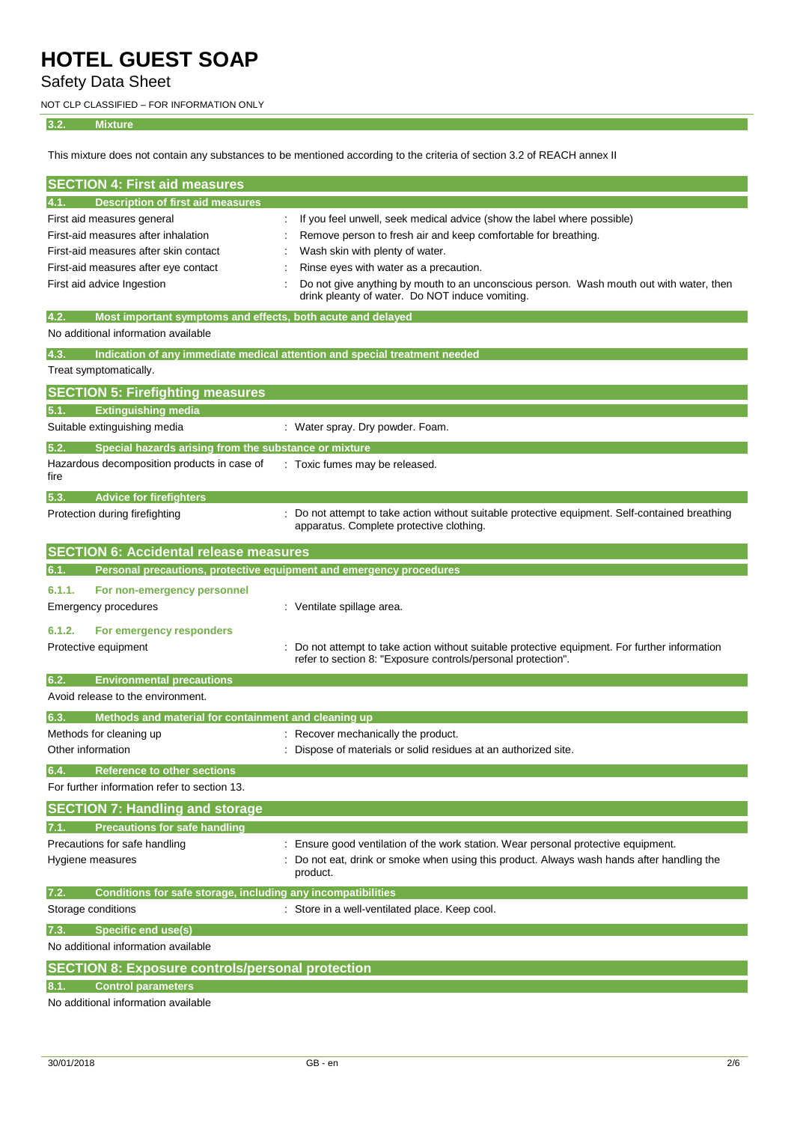Safety Data Sheet

NOT CLP CLASSIFIED – FOR INFORMATION ONLY

## **3.2. Mixture**

This mixture does not contain any substances to be mentioned according to the criteria of section 3.2 of REACH annex II

| <b>SECTION 4: First aid measures</b>                                        |                                                                                                                                                              |
|-----------------------------------------------------------------------------|--------------------------------------------------------------------------------------------------------------------------------------------------------------|
| <b>Description of first aid measures</b><br>4.1.                            |                                                                                                                                                              |
| First aid measures general                                                  | If you feel unwell, seek medical advice (show the label where possible)                                                                                      |
| First-aid measures after inhalation                                         | Remove person to fresh air and keep comfortable for breathing.                                                                                               |
| First-aid measures after skin contact                                       | Wash skin with plenty of water.                                                                                                                              |
| First-aid measures after eye contact                                        | Rinse eyes with water as a precaution.                                                                                                                       |
| First aid advice Ingestion                                                  | Do not give anything by mouth to an unconscious person. Wash mouth out with water, then<br>drink pleanty of water. Do NOT induce vomiting.                   |
| 4.2.<br>Most important symptoms and effects, both acute and delayed         |                                                                                                                                                              |
| No additional information available                                         |                                                                                                                                                              |
| 4.3.                                                                        | Indication of any immediate medical attention and special treatment needed                                                                                   |
| Treat symptomatically.                                                      |                                                                                                                                                              |
| <b>SECTION 5: Firefighting measures</b>                                     |                                                                                                                                                              |
| <b>Extinguishing media</b><br>5.1.                                          |                                                                                                                                                              |
| Suitable extinguishing media                                                | : Water spray. Dry powder. Foam.                                                                                                                             |
| 5.2.<br>Special hazards arising from the substance or mixture               |                                                                                                                                                              |
| Hazardous decomposition products in case of<br>fire                         | : Toxic fumes may be released.                                                                                                                               |
| <b>Advice for firefighters</b><br>5.3.                                      |                                                                                                                                                              |
| Protection during firefighting                                              | : Do not attempt to take action without suitable protective equipment. Self-contained breathing<br>apparatus. Complete protective clothing.                  |
| <b>SECTION 6: Accidental release measures</b>                               |                                                                                                                                                              |
| Personal precautions, protective equipment and emergency procedures<br>6.1. |                                                                                                                                                              |
| 6.1.1.<br>For non-emergency personnel                                       |                                                                                                                                                              |
| Emergency procedures                                                        | : Ventilate spillage area.                                                                                                                                   |
| 6.1.2.<br>For emergency responders                                          |                                                                                                                                                              |
| Protective equipment                                                        | Do not attempt to take action without suitable protective equipment. For further information<br>refer to section 8: "Exposure controls/personal protection". |
| 6.2.<br><b>Environmental precautions</b>                                    |                                                                                                                                                              |
| Avoid release to the environment.                                           |                                                                                                                                                              |
| 6.3.<br>Methods and material for containment and cleaning up                |                                                                                                                                                              |
| Methods for cleaning up                                                     | : Recover mechanically the product.                                                                                                                          |
| Other information                                                           | Dispose of materials or solid residues at an authorized site.                                                                                                |
| Reference to other sections<br>64.                                          |                                                                                                                                                              |
| For further information refer to section 13.                                |                                                                                                                                                              |
| <b>SECTION 7: Handling and storage</b>                                      |                                                                                                                                                              |
| <b>Precautions for safe handling</b>                                        |                                                                                                                                                              |
| Precautions for safe handling                                               | Ensure good ventilation of the work station. Wear personal protective equipment.                                                                             |
| Hygiene measures                                                            | Do not eat, drink or smoke when using this product. Always wash hands after handling the<br>product.                                                         |
| Conditions for safe storage, including any incompatibilities<br>7.2.        |                                                                                                                                                              |
| Storage conditions                                                          | Store in a well-ventilated place. Keep cool.                                                                                                                 |
| <b>Specific end use(s)</b><br>7.3.                                          |                                                                                                                                                              |
| No additional information available                                         |                                                                                                                                                              |
| <b>SECTION 8: Exposure controls/personal protection</b>                     |                                                                                                                                                              |
| <b>Control parameters</b>                                                   |                                                                                                                                                              |
| No additional information available                                         |                                                                                                                                                              |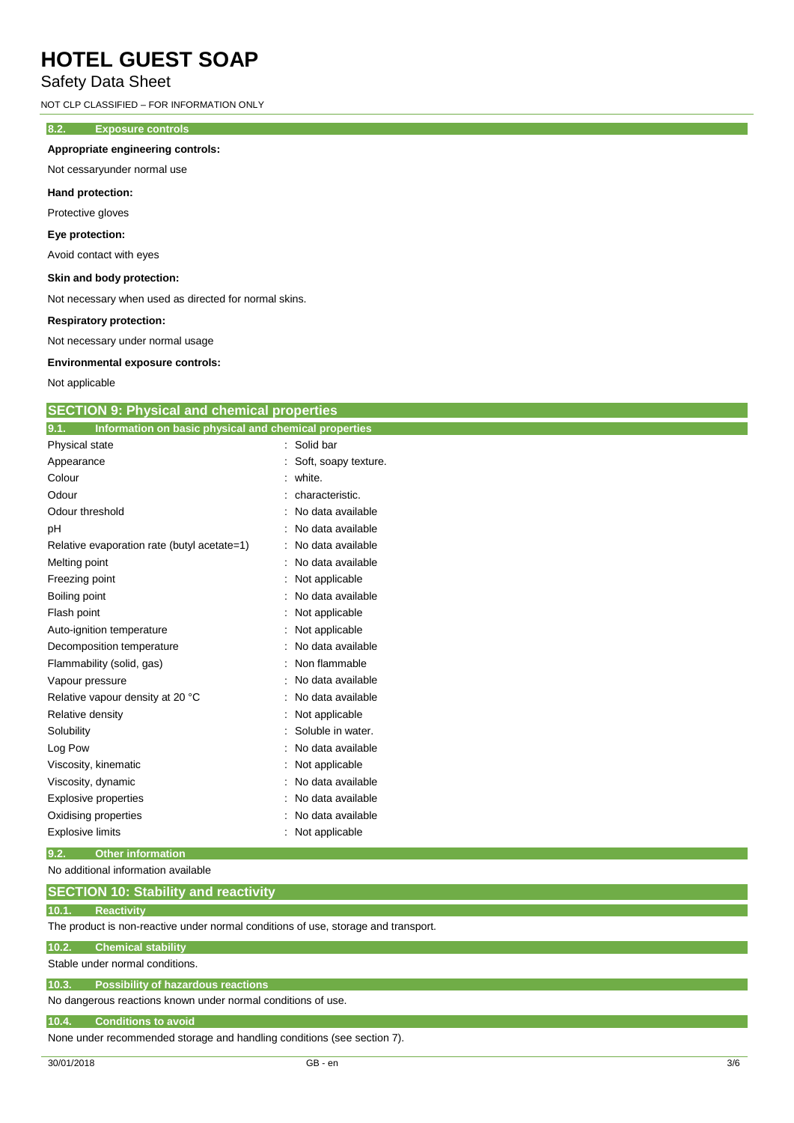## Safety Data Sheet

NOT CLP CLASSIFIED – FOR INFORMATION ONLY

## **8.2. Exposure controls**

## **Appropriate engineering controls:**

Not cessaryunder normal use

#### **Hand protection:**

Protective gloves

#### **Eye protection:**

Avoid contact with eyes

### **Skin and body protection:**

Not necessary when used as directed for normal skins.

#### **Respiratory protection:**

Not necessary under normal usage

#### **Environmental exposure controls:**

Not applicable

| <b>SECTION 9: Physical and chemical properties</b> |
|----------------------------------------------------|
|----------------------------------------------------|

| Information on basic physical and chemical properties<br>9.1. |                      |
|---------------------------------------------------------------|----------------------|
| Physical state                                                | : Solid bar          |
| Appearance                                                    | Soft, soapy texture. |
| Colour                                                        | white.               |
| Odour                                                         | characteristic.      |
| Odour threshold                                               | No data available    |
| pH                                                            | No data available    |
| Relative evaporation rate (butyl acetate=1)                   | No data available    |
| Melting point                                                 | No data available    |
| Freezing point                                                | Not applicable       |
| Boiling point                                                 | No data available    |
| Flash point                                                   | Not applicable       |
| Auto-ignition temperature                                     | Not applicable       |
| Decomposition temperature                                     | No data available    |
| Flammability (solid, gas)                                     | Non flammable        |
| Vapour pressure                                               | No data available    |
| Relative vapour density at 20 °C                              | No data available    |
| Relative density                                              | Not applicable       |
| Solubility                                                    | Soluble in water.    |
| Log Pow                                                       | No data available    |
| Viscosity, kinematic                                          | Not applicable       |
| Viscosity, dynamic                                            | No data available    |
| <b>Explosive properties</b>                                   | No data available    |
| Oxidising properties                                          | No data available    |
| <b>Explosive limits</b>                                       | Not applicable       |

### **9.2. Other information**

No additional information available

#### **10.1. Reactivity**

The product is non-reactive under normal conditions of use, storage and transport.

#### **10.2. Chemical stability**

Stable under normal conditions.

# **10.3. Possibility of hazardous reactions**

No dangerous reactions known under normal conditions of use.

#### **10.4. Conditions to avoid**

None under recommended storage and handling conditions (see section 7).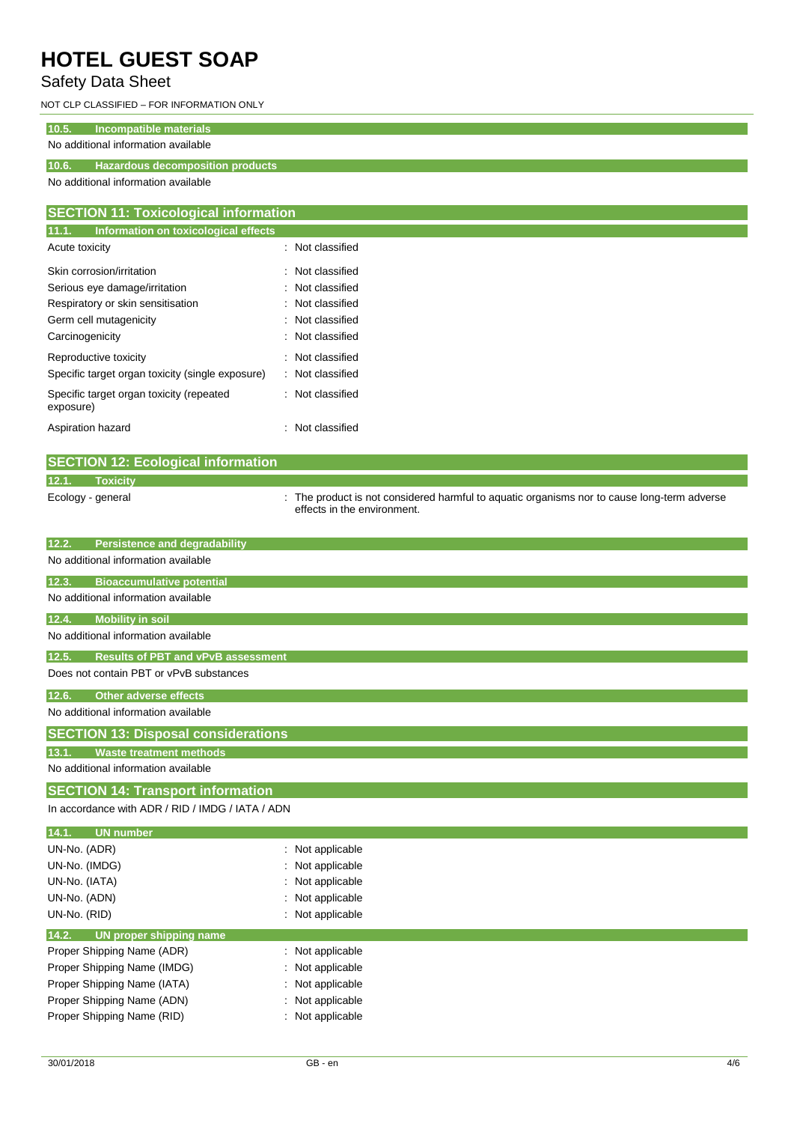# Safety Data Sheet

NOT CLP CLASSIFIED – FOR INFORMATION ONLY

# **10.5. Incompatible materials**

# No additional information available

## **10.6. Hazardous decomposition products**

No additional information available

| <b>SECTION 11: Toxicological information</b>          |                  |  |  |
|-------------------------------------------------------|------------------|--|--|
| 11.1.<br>Information on toxicological effects         |                  |  |  |
| Acute toxicity                                        | : Not classified |  |  |
| Skin corrosion/irritation                             | : Not classified |  |  |
| Serious eye damage/irritation                         | : Not classified |  |  |
| Respiratory or skin sensitisation                     | : Not classified |  |  |
| Germ cell mutagenicity                                | : Not classified |  |  |
| Carcinogenicity                                       | : Not classified |  |  |
| Reproductive toxicity                                 | : Not classified |  |  |
| Specific target organ toxicity (single exposure)      | : Not classified |  |  |
| Specific target organ toxicity (repeated<br>exposure) | : Not classified |  |  |
| Aspiration hazard                                     | : Not classified |  |  |

| <b>SECTION 12: Ecological information</b> |                   |  |                                                                                                                            |
|-------------------------------------------|-------------------|--|----------------------------------------------------------------------------------------------------------------------------|
| 12.1.                                     | Toxicity          |  |                                                                                                                            |
|                                           | Ecology - general |  | : The product is not considered harmful to aquatic organisms nor to cause long-term adverse<br>effects in the environment. |

| 12.2.<br><b>Persistence and degradability</b>      |                  |  |  |  |
|----------------------------------------------------|------------------|--|--|--|
| No additional information available                |                  |  |  |  |
| 12.3.<br><b>Bioaccumulative potential</b>          |                  |  |  |  |
| No additional information available                |                  |  |  |  |
| 12.4.<br><b>Mobility in soil</b>                   |                  |  |  |  |
| No additional information available                |                  |  |  |  |
| 12.5.<br><b>Results of PBT and vPvB assessment</b> |                  |  |  |  |
| Does not contain PBT or vPvB substances            |                  |  |  |  |
| <b>Other adverse effects</b><br>12.6.              |                  |  |  |  |
| No additional information available                |                  |  |  |  |
| <b>SECTION 13: Disposal considerations</b>         |                  |  |  |  |
| 13.1.<br><b>Waste treatment methods</b>            |                  |  |  |  |
| No additional information available                |                  |  |  |  |
| <b>SECTION 14: Transport information</b>           |                  |  |  |  |
| In accordance with ADR / RID / IMDG / IATA / ADN   |                  |  |  |  |
| 14.1.<br><b>UN number</b>                          |                  |  |  |  |
| UN-No. (ADR)                                       | : Not applicable |  |  |  |
| UN-No. (IMDG)                                      | Not applicable   |  |  |  |
| UN-No. (IATA)                                      | Not applicable   |  |  |  |
| UN-No. (ADN)                                       | Not applicable   |  |  |  |
| UN-No. (RID)                                       | : Not applicable |  |  |  |
| 14.2.<br>UN proper shipping name                   |                  |  |  |  |
| Proper Shipping Name (ADR)                         | : Not applicable |  |  |  |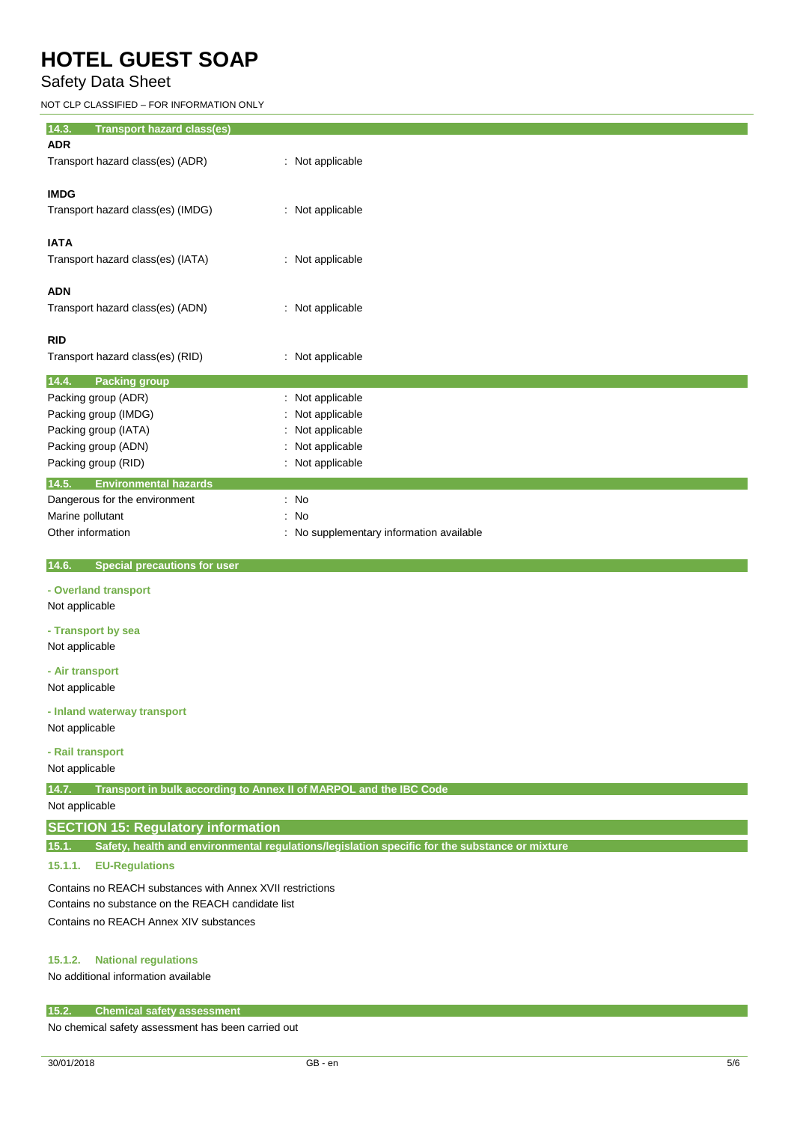# Safety Data Sheet

NOT CLP CLASSIFIED – FOR INFORMATION ONLY

| 14.3.<br><b>Transport hazard class(es)</b> |                                          |
|--------------------------------------------|------------------------------------------|
| <b>ADR</b>                                 |                                          |
| Transport hazard class(es) (ADR)           | : Not applicable                         |
|                                            |                                          |
| <b>IMDG</b>                                |                                          |
| Transport hazard class(es) (IMDG)          | : Not applicable                         |
|                                            |                                          |
| <b>IATA</b>                                |                                          |
| Transport hazard class(es) (IATA)          | : Not applicable                         |
|                                            |                                          |
| <b>ADN</b>                                 |                                          |
| Transport hazard class(es) (ADN)           | : Not applicable                         |
|                                            |                                          |
| <b>RID</b>                                 |                                          |
| Transport hazard class(es) (RID)           | : Not applicable                         |
| 14.4.<br><b>Packing group</b>              |                                          |
| Packing group (ADR)                        | : Not applicable                         |
| Packing group (IMDG)                       | : Not applicable                         |
| Packing group (IATA)                       | : Not applicable                         |
| Packing group (ADN)                        | : Not applicable                         |
| Packing group (RID)                        | : Not applicable                         |
| 14.5.<br><b>Environmental hazards</b>      |                                          |
| Dangerous for the environment              | $\therefore$ No                          |
| Marine pollutant                           | : No                                     |
| Other information                          | : No supplementary information available |
|                                            |                                          |

 **14.6. Special precautions for user**

## **- Overland transport**

Not applicable

**- Transport by sea** Not applicable

**- Air transport**

Not applicable

## **- Inland waterway transport**

Not applicable

## **- Rail transport**

Not applicable

**14.7. Transport in bulk according to Annex II of MARPOL and the IBC Code**

Not applicable

## **SECTION 15: Regulatory information**

**15.1. Safety, health and environmental regulations/legislation specific for the substance or mixture**

## **15.1.1. EU-Regulations**

Contains no REACH substances with Annex XVII restrictions Contains no substance on the REACH candidate list Contains no REACH Annex XIV substances

## **15.1.2. National regulations**

No additional information available

### **15.2. Chemical safety assessment**

No chemical safety assessment has been carried out